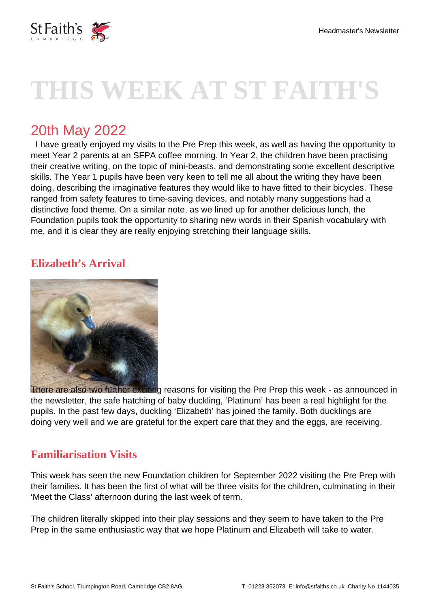

# **THIS WEEK AT ST FAITH'S**

## 20th May 2022

 I have greatly enjoyed my visits to the Pre Prep this week, as well as having the opportunity to meet Year 2 parents at an SFPA coffee morning. In Year 2, the children have been practising their creative writing, on the topic of mini-beasts, and demonstrating some excellent descriptive skills. The Year 1 pupils have been very keen to tell me all about the writing they have been doing, describing the imaginative features they would like to have fitted to their bicycles. These ranged from safety features to time-saving devices, and notably many suggestions had a distinctive food theme. On a similar note, as we lined up for another delicious lunch, the Foundation pupils took the opportunity to sharing new words in their Spanish vocabulary with me, and it is clear they are really enjoying stretching their language skills.

### **Elizabeth's Arrival**



There are also two further exciting reasons for visiting the Pre Prep this week - as announced in the newsletter, the safe hatching of baby duckling, 'Platinum' has been a real highlight for the pupils. In the past few days, duckling 'Elizabeth' has joined the family. Both ducklings are doing very well and we are grateful for the expert care that they and the eggs, are receiving.

### **Familiarisation Visits**

This week has seen the new Foundation children for September 2022 visiting the Pre Prep with their families. It has been the first of what will be three visits for the children, culminating in their 'Meet the Class' afternoon during the last week of term.

The children literally skipped into their play sessions and they seem to have taken to the Pre Prep in the same enthusiastic way that we hope Platinum and Elizabeth will take to water.